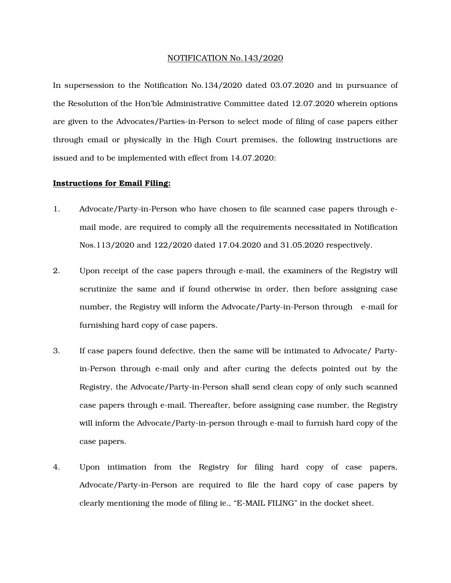## NOTIFICATION No.143/2020

In supersession to the Notification No.134/2020 dated 03.07.2020 and in pursuance of the Resolution of the Hon'ble Administrative Committee dated 12.07.2020 wherein options are given to the Advocates/Parties-in-Person to select mode of filing of case papers either through email or physically in the High Court premises, the following instructions are issued and to be implemented with effect from 14.07.2020:

## Instructions for Email Filing:

- 1. Advocate/Party-in-Person who have chosen to file scanned case papers through email mode, are required to comply all the requirements necessitated in Notification Nos.113/2020 and 122/2020 dated 17.04.2020 and 31.05.2020 respectively.
- 2. Upon receipt of the case papers through e-mail, the examiners of the Registry will scrutinize the same and if found otherwise in order, then before assigning case number, the Registry will inform the Advocate/Party-in-Person through e-mail for furnishing hard copy of case papers.
- 3. If case papers found defective, then the same will be intimated to Advocate/ Partyin-Person through e-mail only and after curing the defects pointed out by the Registry, the Advocate/Party-in-Person shall send clean copy of only such scanned case papers through e-mail. Thereafter, before assigning case number, the Registry will inform the Advocate/Party-in-person through e-mail to furnish hard copy of the case papers.
- 4. Upon intimation from the Registry for filing hard copy of case papers, Advocate/Party-in-Person are required to file the hard copy of case papers by clearly mentioning the mode of filing ie., "E-MAIL FILING" in the docket sheet.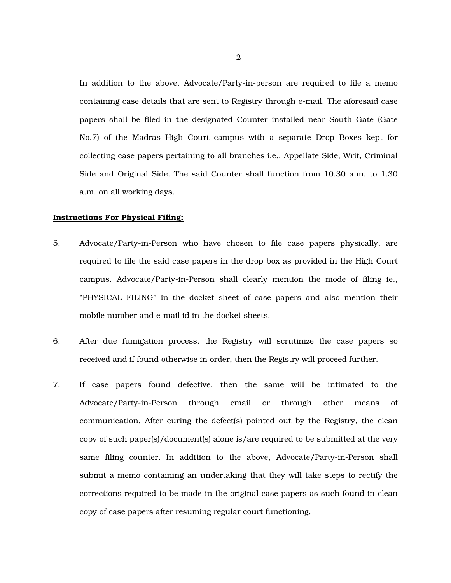In addition to the above, Advocate/Party-in-person are required to file a memo containing case details that are sent to Registry through e-mail. The aforesaid case papers shall be filed in the designated Counter installed near South Gate (Gate No.7) of the Madras High Court campus with a separate Drop Boxes kept for collecting case papers pertaining to all branches i.e., Appellate Side, Writ, Criminal Side and Original Side. The said Counter shall function from 10.30 a.m. to 1.30 a.m. on all working days.

## Instructions For Physical Filing:

- 5. Advocate/Party-in-Person who have chosen to file case papers physically, are required to file the said case papers in the drop box as provided in the High Court campus. Advocate/Party-in-Person shall clearly mention the mode of filing ie., "PHYSICAL FILING" in the docket sheet of case papers and also mention their mobile number and e-mail id in the docket sheets.
- 6. After due fumigation process, the Registry will scrutinize the case papers so received and if found otherwise in order, then the Registry will proceed further.
- 7. If case papers found defective, then the same will be intimated to the Advocate/Party-in-Person through email or through other means of communication. After curing the defect(s) pointed out by the Registry, the clean copy of such paper(s)/document(s) alone is/are required to be submitted at the very same filing counter. In addition to the above, Advocate/Party-in-Person shall submit a memo containing an undertaking that they will take steps to rectify the corrections required to be made in the original case papers as such found in clean copy of case papers after resuming regular court functioning.